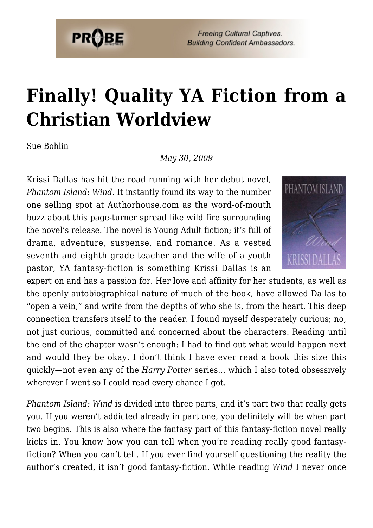

**Freeing Cultural Captives. Building Confident Ambassadors.** 

## **[Finally! Quality YA Fiction from a](https://probe.org/finally-quality-ya-fiction-from-a-christian-worldview/) [Christian Worldview](https://probe.org/finally-quality-ya-fiction-from-a-christian-worldview/)**

Sue Bohlin

*May 30, 2009*

Krissi Dallas has hit the road running with her debut novel, *Phantom Island: Wind.* It instantly found its way to the number one selling spot at Authorhouse.com as the word-of-mouth buzz about this page-turner spread like wild fire surrounding the novel's release. The novel is Young Adult fiction; it's full of drama, adventure, suspense, and romance. As a vested seventh and eighth grade teacher and the wife of a youth pastor, YA fantasy-fiction is something Krissi Dallas is an



expert on and has a passion for. Her love and affinity for her students, as well as the openly autobiographical nature of much of the book, have allowed Dallas to "open a vein," and write from the depths of who she is, from the heart. This deep connection transfers itself to the reader. I found myself desperately curious; no, not just curious, committed and concerned about the characters. Reading until the end of the chapter wasn't enough: I had to find out what would happen next and would they be okay. I don't think I have ever read a book this size this quickly—not even any of the *Harry Potter* series… which I also toted obsessively wherever I went so I could read every chance I got.

*Phantom Island: Wind* is divided into three parts, and it's part two that really gets you. If you weren't addicted already in part one, you definitely will be when part two begins. This is also where the fantasy part of this fantasy-fiction novel really kicks in. You know how you can tell when you're reading really good fantasyfiction? When you can't tell. If you ever find yourself questioning the reality the author's created, it isn't good fantasy-fiction. While reading *Wind* I never once